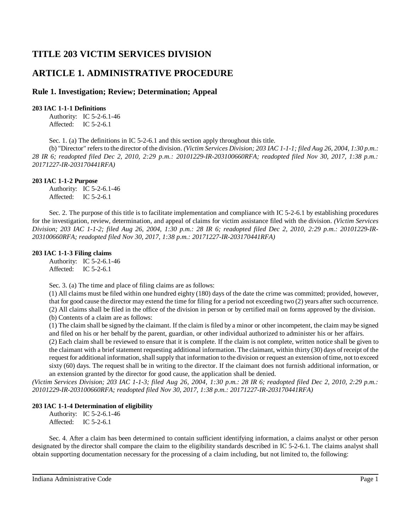# **TITLE 203 VICTIM SERVICES DIVISION**

## **ARTICLE 1. ADMINISTRATIVE PROCEDURE**

## **Rule 1. Investigation; Review; Determination; Appeal**

## **203 IAC 1-1-1 Definitions**

Authority: IC 5-2-6.1-46 Affected: IC 5-2-6.1

Sec. 1. (a) The definitions in IC 5-2-6.1 and this section apply throughout this title.

(b) "Director" refersto the director of the division. *(Victim Services Division; 203 IAC 1-1-1; filed Aug 26, 2004, 1:30 p.m.: 28 IR 6; readopted filed Dec 2, 2010, 2:29 p.m.: 20101229-IR-203100660RFA; readopted filed Nov 30, 2017, 1:38 p.m.: 20171227-IR-203170441RFA)*

## **203 IAC 1-1-2 Purpose**

Authority: IC 5-2-6.1-46 Affected: IC 5-2-6.1

Sec. 2. The purpose of this title is to facilitate implementation and compliance with IC 5-2-6.1 by establishing procedures for the investigation, review, determination, and appeal of claims for victim assistance filed with the division. *(Victim Services* Division; 203 IAC 1-1-2; filed Aug 26, 2004, 1:30 p.m.: 28 IR 6; readopted filed Dec 2, 2010, 2:29 p.m.: 20101229-IR-*203100660RFA; readopted filed Nov 30, 2017, 1:38 p.m.: 20171227-IR-203170441RFA)*

### **203 IAC 1-1-3 Filing claims**

Authority: IC 5-2-6.1-46 Affected: IC 5-2-6.1

Sec. 3. (a) The time and place of filing claims are as follows:

(1) All claims must be filed within one hundred eighty (180) days of the date the crime was committed; provided, however, that for good cause the director may extend the time for filing for a period not exceeding two (2) years after such occurrence. (2) All claims shall be filed in the office of the division in person or by certified mail on forms approved by the division.

(b) Contents of a claim are as follows:

(1) The claim shall be signed by the claimant. If the claim is filed by a minor or other incompetent, the claim may be signed and filed on his or her behalf by the parent, guardian, or other individual authorized to administer his or her affairs.

(2) Each claim shall be reviewed to ensure that it is complete. If the claim is not complete, written notice shall be given to the claimant with a briefstatement requesting additional information. The claimant, within thirty (30) days of receipt of the request for additional information, shall supply that information to the division or request an extension of time, not to exceed sixty (60) days. The request shall be in writing to the director. If the claimant does not furnish additional information, or an extension granted by the director for good cause, the application shall be denied.

*(Victim Services Division; 203 IAC 1-1-3; filed Aug 26, 2004, 1:30 p.m.: 28 IR 6; readopted filed Dec 2, 2010, 2:29 p.m.: 20101229-IR-203100660RFA; readopted filed Nov 30, 2017, 1:38 p.m.: 20171227-IR-203170441RFA)*

## **203 IAC 1-1-4 Determination of eligibility**

Authority: IC 5-2-6.1-46 Affected: IC 5-2-6.1

Sec. 4. After a claim has been determined to contain sufficient identifying information, a claims analyst or other person designated by the director shall compare the claim to the eligibility standards described in IC 5-2-6.1. The claims analyst shall obtain supporting documentation necessary for the processing of a claim including, but not limited to, the following: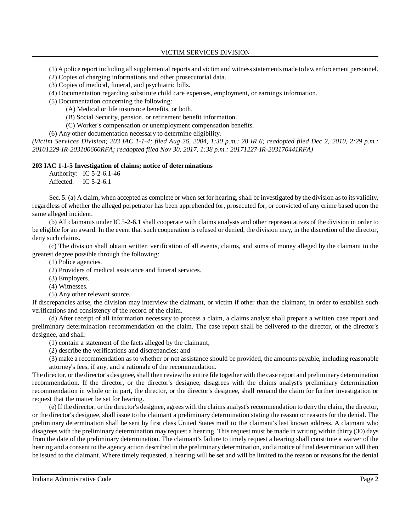(1) A police report including allsupplemental reports and victim and witnessstatements made tolawenforcement personnel.

- (2) Copies of charging informations and other prosecutorial data.
- (3) Copies of medical, funeral, and psychiatric bills.
- (4) Documentation regarding substitute child care expenses, employment, or earnings information.
- (5) Documentation concerning the following:
	- (A) Medical or life insurance benefits, or both.
	- (B) Social Security, pension, or retirement benefit information.
	- (C) Worker's compensation or unemployment compensation benefits.
- (6) Any other documentation necessary to determine eligibility.

*(Victim Services Division; 203 IAC 1-1-4; filed Aug 26, 2004, 1:30 p.m.: 28 IR 6; readopted filed Dec 2, 2010, 2:29 p.m.: 20101229-IR-203100660RFA; readopted filed Nov 30, 2017, 1:38 p.m.: 20171227-IR-203170441RFA)*

#### **203 IAC 1-1-5 Investigation of claims; notice of determinations**

Authority: IC 5-2-6.1-46 Affected: IC 5-2-6.1

Sec. 5. (a) A claim, when accepted as complete or when set for hearing, shall be investigated by the division asto its validity, regardless of whether the alleged perpetrator has been apprehended for, prosecuted for, or convicted of any crime based upon the same alleged incident.

(b) All claimants under IC 5-2-6.1 shall cooperate with claims analysts and other representatives of the division in order to be eligible for an award. In the event that such cooperation is refused or denied, the division may, in the discretion of the director, deny such claims.

(c) The division shall obtain written verification of all events, claims, and sums of money alleged by the claimant to the greatest degree possible through the following:

(1) Police agencies.

(2) Providers of medical assistance and funeral services.

(3) Employers.

(4) Witnesses.

(5) Any other relevant source.

If discrepancies arise, the division may interview the claimant, or victim if other than the claimant, in order to establish such verifications and consistency of the record of the claim.

(d) After receipt of all information necessary to process a claim, a claims analyst shall prepare a written case report and preliminary determination recommendation on the claim. The case report shall be delivered to the director, or the director's designee, and shall:

(1) contain a statement of the facts alleged by the claimant;

(2) describe the verifications and discrepancies; and

(3) make a recommendation as to whether or not assistance should be provided, the amounts payable, including reasonable attorney's fees, if any, and a rationale of the recommendation.

The director, or the director's designee, shall then review the entire file together with the case report and preliminary determination recommendation. If the director, or the director's designee, disagrees with the claims analyst's preliminary determination recommendation in whole or in part, the director, or the director's designee, shall remand the claim for further investigation or request that the matter be set for hearing.

(e) If the director, or the director's designee, agrees with the claims analyst'srecommendation to deny the claim, the director, or the director's designee, shall issue to the claimant a preliminary determination stating the reason or reasons for the denial. The preliminary determination shall be sent by first class United States mail to the claimant's last known address. A claimant who disagrees with the preliminary determination may request a hearing. This request must be made in writing within thirty (30) days from the date of the preliminary determination. The claimant's failure to timely request a hearing shall constitute a waiver of the hearing and a consent to the agency action described in the preliminary determination, and a notice offinal determination will then be issued to the claimant. Where timely requested, a hearing will be set and will be limited to the reason or reasons for the denial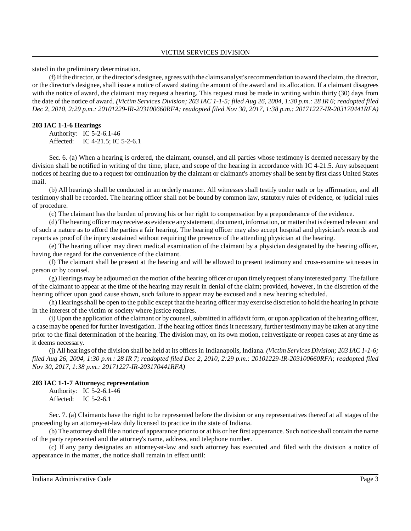stated in the preliminary determination.

(f) Ifthe director, or the director's designee, agrees with the claims analyst'srecommendation to award the claim, the director, or the director's designee, shall issue a notice of award stating the amount of the award and its allocation. If a claimant disagrees with the notice of award, the claimant may request a hearing. This request must be made in writing within thirty (30) days from the date of the notice of award. (Victim Services Division; 203 IAC 1-1-5; filed Aug 26, 2004, 1:30 p.m.: 28 IR 6; readopted filed *Dec 2, 2010, 2:29 p.m.: 20101229-IR-203100660RFA; readopted filed Nov 30, 2017, 1:38 p.m.: 20171227-IR-203170441RFA)*

#### **203 IAC 1-1-6 Hearings**

Authority: IC 5-2-6.1-46 Affected: IC 4-21.5; IC 5-2-6.1

Sec. 6. (a) When a hearing is ordered, the claimant, counsel, and all parties whose testimony is deemed necessary by the division shall be notified in writing of the time, place, and scope of the hearing in accordance with IC 4-21.5. Any subsequent notices of hearing due to a request for continuation by the claimant or claimant's attorney shall be sent by first class United States mail.

(b) All hearings shall be conducted in an orderly manner. All witnesses shall testify under oath or by affirmation, and all testimony shall be recorded. The hearing officer shall not be bound by common law, statutory rules of evidence, or judicial rules of procedure.

(c) The claimant has the burden of proving his or her right to compensation by a preponderance of the evidence.

(d) The hearing officer may receive as evidence any statement, document, information, or matter that is deemed relevant and of such a nature as to afford the parties a fair hearing. The hearing officer may also accept hospital and physician's records and reports as proof of the injury sustained without requiring the presence of the attending physician at the hearing.

(e) The hearing officer may direct medical examination of the claimant by a physician designated by the hearing officer, having due regard for the convenience of the claimant.

(f) The claimant shall be present at the hearing and will be allowed to present testimony and cross-examine witnesses in person or by counsel.

(g) Hearings maybe adjourned on the motion of the hearing officer or upon timelyrequest of anyinterested party. The failure of the claimant to appear at the time of the hearing may result in denial of the claim; provided, however, in the discretion of the hearing officer upon good cause shown, such failure to appear may be excused and a new hearing scheduled.

(h) Hearingsshall be open to the public except that the hearing officer may exercise discretion to hold the hearing in private in the interest of the victim or society where justice requires.

(i) Upon the application of the claimant or by counsel, submitted in affidavit form, or upon application of the hearing officer, a case may be opened for further investigation. If the hearing officer finds it necessary, further testimony may be taken at any time prior to the final determination of the hearing. The division may, on its own motion, reinvestigate or reopen cases at any time as it deems necessary.

(j) All hearings of the division shall be held at its offices in Indianapolis, Indiana. *(Victim Services Division; 203 IAC 1-1-6; filed Aug 26, 2004, 1:30 p.m.: 28 IR 7; readopted filed Dec 2, 2010, 2:29 p.m.: 20101229-IR-203100660RFA; readopted filed Nov 30, 2017, 1:38 p.m.: 20171227-IR-203170441RFA)*

#### **203 IAC 1-1-7 Attorneys; representation**

Authority: IC 5-2-6.1-46 Affected: IC 5-2-6.1

Sec. 7. (a) Claimants have the right to be represented before the division or any representatives thereof at all stages of the proceeding by an attorney-at-law duly licensed to practice in the state of Indiana.

(b) The attorney shall file a notice of appearance prior to or at his or her first appearance. Such notice shall contain the name of the party represented and the attorney's name, address, and telephone number.

(c) If any party designates an attorney-at-law and such attorney has executed and filed with the division a notice of appearance in the matter, the notice shall remain in effect until: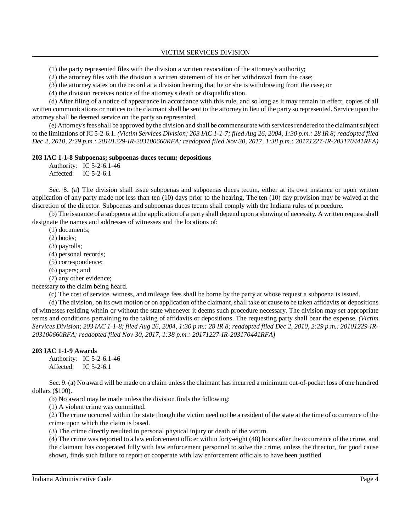(1) the party represented files with the division a written revocation of the attorney's authority;

(2) the attorney files with the division a written statement of his or her withdrawal from the case;

(3) the attorney states on the record at a division hearing that he or she is withdrawing from the case; or

(4) the division receives notice of the attorney's death or disqualification.

(d) After filing of a notice of appearance in accordance with this rule, and so long as it may remain in effect, copies of all written communications or notices to the claimant shall be sent to the attorney in lieu of the party so represented. Service upon the attorney shall be deemed service on the party so represented.

(e) Attorney's fees shall be approved by the division and shall be commensurate with services rendered to the claimant subject to the limitations of IC 5-2-6.1. (Victim Services Division; 203 IAC 1-1-7; filed Aug 26, 2004, 1:30 p.m.: 28 IR 8; readopted filed *Dec 2, 2010, 2:29 p.m.: 20101229-IR-203100660RFA; readopted filed Nov 30, 2017, 1:38 p.m.: 20171227-IR-203170441RFA)*

#### **203 IAC 1-1-8 Subpoenas; subpoenas duces tecum; depositions**

Authority: IC 5-2-6.1-46 Affected: IC 5-2-6.1

Sec. 8. (a) The division shall issue subpoenas and subpoenas duces tecum, either at its own instance or upon written application of any party made not less than ten (10) days prior to the hearing. The ten (10) day provision may be waived at the discretion of the director. Subpoenas and subpoenas duces tecum shall comply with the Indiana rules of procedure.

(b) The issuance of a subpoena at the application of a party shall depend upon a showing of necessity. A written request shall designate the names and addresses of witnesses and the locations of:

(1) documents;

(2) books;

(3) payrolls;

(4) personal records;

(5) correspondence;

(6) papers; and

(7) any other evidence;

necessary to the claim being heard.

(c) The cost of service, witness, and mileage fees shall be borne by the party at whose request a subpoena is issued.

(d) The division, on its own motion or on application of the claimant, shall take or cause to be taken affidavits or depositions of witnesses residing within or without the state whenever it deems such procedure necessary. The division may set appropriate terms and conditions pertaining to the taking of affidavits or depositions. The requesting party shall bear the expense. *(Victim* Services Division; 203 IAC 1-1-8; filed Aug 26, 2004, 1:30 p.m.: 28 IR 8; readopted filed Dec 2, 2010, 2:29 p.m.: 20101229-IR-*203100660RFA; readopted filed Nov 30, 2017, 1:38 p.m.: 20171227-IR-203170441RFA)*

#### **203 IAC 1-1-9 Awards**

Authority: IC 5-2-6.1-46 Affected: IC 5-2-6.1

Sec. 9. (a) No award will be made on a claim unless the claimant has incurred a minimum out-of-pocket loss of one hundred dollars (\$100).

(b) No award may be made unless the division finds the following:

(1) A violent crime was committed.

(2) The crime occurred within the state though the victim need not be a resident of the state at the time of occurrence of the crime upon which the claim is based.

(3) The crime directly resulted in personal physical injury or death of the victim.

(4) The crime was reported to a law enforcement officer within forty-eight (48) hours after the occurrence of the crime, and the claimant has cooperated fully with law enforcement personnel to solve the crime, unless the director, for good cause shown, finds such failure to report or cooperate with law enforcement officials to have been justified.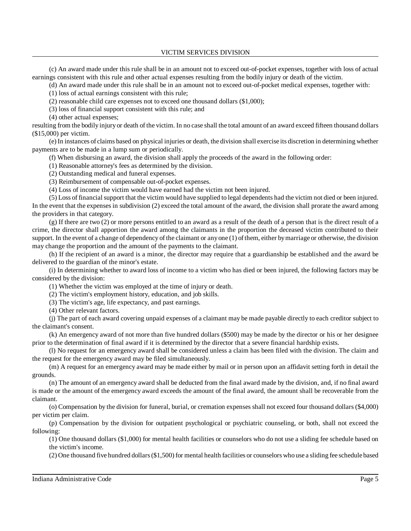(c) An award made under this rule shall be in an amount not to exceed out-of-pocket expenses, together with loss of actual earnings consistent with this rule and other actual expenses resulting from the bodily injury or death of the victim.

(d) An award made under this rule shall be in an amount not to exceed out-of-pocket medical expenses, together with:

(1) loss of actual earnings consistent with this rule;

(2) reasonable child care expenses not to exceed one thousand dollars (\$1,000);

(3) loss of financial support consistent with this rule; and

(4) other actual expenses;

resulting from the bodily injuryor death of the victim. In no case shall the total amount of an award exceed fifteen thousand dollars (\$15,000) per victim.

(e) In instances of claims based on physical injuries or death, the division shall exercise its discretion in determining whether payments are to be made in a lump sum or periodically.

(f) When disbursing an award, the division shall apply the proceeds of the award in the following order:

(1) Reasonable attorney's fees as determined by the division.

(2) Outstanding medical and funeral expenses.

(3) Reimbursement of compensable out-of-pocket expenses.

(4) Loss of income the victim would have earned had the victim not been injured.

(5) Loss of financial support that the victim would have supplied to legal dependents had the victim not died or been injured. In the event that the expenses in subdivision (2) exceed the total amount of the award, the division shall prorate the award among the providers in that category.

(g) If there are two (2) or more persons entitled to an award as a result of the death of a person that is the direct result of a crime, the director shall apportion the award among the claimants in the proportion the deceased victim contributed to their support. In the event of a change of dependency of the claimant or any one (1) of them, either by marriage or otherwise, the division may change the proportion and the amount of the payments to the claimant.

(h) If the recipient of an award is a minor, the director may require that a guardianship be established and the award be delivered to the guardian of the minor's estate.

(i) In determining whether to award loss of income to a victim who has died or been injured, the following factors may be considered by the division:

(1) Whether the victim was employed at the time of injury or death.

(2) The victim's employment history, education, and job skills.

(3) The victim's age, life expectancy, and past earnings.

(4) Other relevant factors.

(j) The part of each award covering unpaid expenses of a claimant may be made payable directly to each creditor subject to the claimant's consent.

(k) An emergency award of not more than five hundred dollars (\$500) may be made by the director or his or her designee prior to the determination of final award if it is determined by the director that a severe financial hardship exists.

(l) No request for an emergency award shall be considered unless a claim has been filed with the division. The claim and the request for the emergency award may be filed simultaneously.

(m) A request for an emergency award may be made either by mail or in person upon an affidavit setting forth in detail the grounds.

(n) The amount of an emergency award shall be deducted from the final award made by the division, and, if no final award is made or the amount of the emergency award exceeds the amount of the final award, the amount shall be recoverable from the claimant.

(o) Compensation by the division for funeral, burial, or cremation expenses shall not exceed four thousand dollars (\$4,000) per victim per claim.

(p) Compensation by the division for outpatient psychological or psychiatric counseling, or both, shall not exceed the following:

(1) One thousand dollars (\$1,000) for mental health facilities or counselors who do not use a sliding fee schedule based on the victim's income.

(2) One thousand five hundred dollars(\$1,500) for mental health facilities or counselors who use a sliding fee schedule based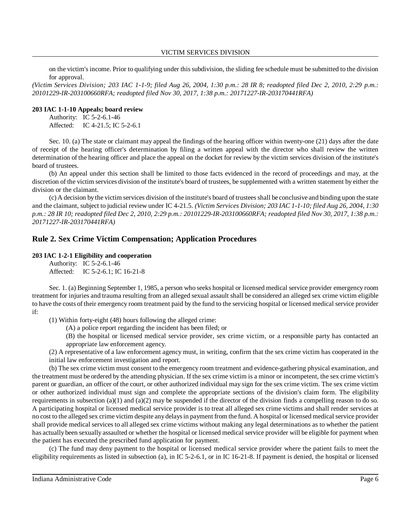on the victim's income. Prior to qualifying under thissubdivision, the sliding fee schedule must be submitted to the division for approval.

*(Victim Services Division; 203 IAC 1-1-9; filed Aug 26, 2004, 1:30 p.m.: 28 IR 8; readopted filed Dec 2, 2010, 2:29 p.m.: 20101229-IR-203100660RFA; readopted filed Nov 30, 2017, 1:38 p.m.: 20171227-IR-203170441RFA)*

#### **203 IAC 1-1-10 Appeals; board review**

Authority: IC 5-2-6.1-46 Affected: IC 4-21.5; IC 5-2-6.1

Sec. 10. (a) The state or claimant may appeal the findings of the hearing officer within twenty-one (21) days after the date of receipt of the hearing officer's determination by filing a written appeal with the director who shall review the written determination of the hearing officer and place the appeal on the docket for review by the victim services division of the institute's board of trustees.

(b) An appeal under this section shall be limited to those facts evidenced in the record of proceedings and may, at the discretion of the victim services division of the institute's board of trustees, be supplemented with a written statement by either the division or the claimant.

(c) A decision by the victim services division of the institute's board of trusteesshall be conclusive and binding upon the state and the claimant, subject to judicial review under IC 4-21.5. *(Victim Services Division; 203 IAC 1-1-10; filed Aug 26, 2004, 1:30* p.m.: 28 IR 10; readopted filed Dec 2, 2010, 2:29 p.m.: 20101229-IR-203100660RFA; readopted filed Nov 30, 2017, 1:38 p.m.: *20171227-IR-203170441RFA)*

## **Rule 2. Sex Crime Victim Compensation; Application Procedures**

#### **203 IAC 1-2-1 Eligibility and cooperation**

Authority: IC 5-2-6.1-46 Affected: IC 5-2-6.1; IC 16-21-8

Sec. 1. (a) Beginning September 1, 1985, a person who seeks hospital or licensed medical service provider emergency room treatment for injuries and trauma resulting from an alleged sexual assault shall be considered an alleged sex crime victim eligible to have the costs of their emergency room treatment paid by the fund to the servicing hospital or licensed medical service provider if:

(1) Within forty-eight (48) hours following the alleged crime:

(A) a police report regarding the incident has been filed; or

(B) the hospital or licensed medical service provider, sex crime victim, or a responsible party has contacted an appropriate law enforcement agency.

(2) A representative of a law enforcement agency must, in writing, confirm that the sex crime victim has cooperated in the initial law enforcement investigation and report.

(b) The sex crime victim must consent to the emergency room treatment and evidence-gathering physical examination, and the treatment must be ordered by the attending physician. If the sex crime victim is a minor or incompetent, the sex crime victim's parent or guardian, an officer of the court, or other authorized individual may sign for the sex crime victim. The sex crime victim or other authorized individual must sign and complete the appropriate sections of the division's claim form. The eligibility requirements in subsection  $(a)(1)$  and  $(a)(2)$  may be suspended if the director of the division finds a compelling reason to do so. A participating hospital or licensed medical service provider is to treat all alleged sex crime victims and shall render services at no cost to the alleged sex crime victim despite anydelaysin payment from the fund. A hospital or licensed medical service provider shall provide medical services to all alleged sex crime victims without making any legal determinations as to whether the patient has actually been sexually assaulted or whether the hospital or licensed medical service provider will be eligible for payment when the patient has executed the prescribed fund application for payment.

(c) The fund may deny payment to the hospital or licensed medical service provider where the patient fails to meet the eligibility requirements as listed in subsection (a), in IC 5-2-6.1, or in IC 16-21-8. If payment is denied, the hospital or licensed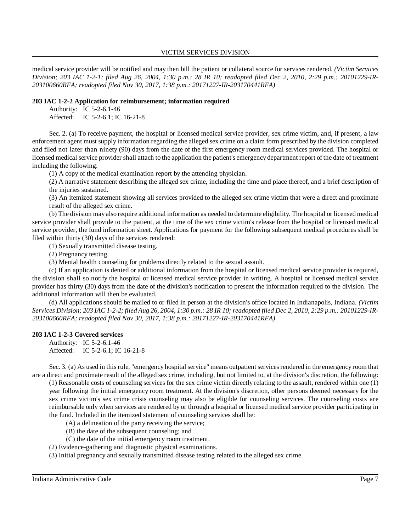medical service provider will be notified and may then bill the patient or collateral source for services rendered. *(Victim Services* Division; 203 IAC 1-2-1; filed Aug 26, 2004, 1:30 p.m.: 28 IR 10; readopted filed Dec 2, 2010, 2:29 p.m.: 20101229-IR-*203100660RFA; readopted filed Nov 30, 2017, 1:38 p.m.: 20171227-IR-203170441RFA)*

#### **203 IAC 1-2-2 Application for reimbursement; information required**

Authority: IC 5-2-6.1-46 Affected: IC 5-2-6.1; IC 16-21-8

Sec. 2. (a) To receive payment, the hospital or licensed medical service provider, sex crime victim, and, if present, a law enforcement agent must supply information regarding the alleged sex crime on a claim form prescribed by the division completed and filed not later than ninety (90) days from the date of the first emergency room medical services provided. The hospital or licensed medical service provider shall attach to the application the patient's emergency department report of the date of treatment including the following:

(1) A copy of the medical examination report by the attending physician.

(2) A narrative statement describing the alleged sex crime, including the time and place thereof, and a brief description of the injuries sustained.

(3) An itemized statement showing all services provided to the alleged sex crime victim that were a direct and proximate result of the alleged sex crime.

(b) The division may also require additional information as needed to determine eligibility. The hospital or licensed medical service provider shall provide to the patient, at the time of the sex crime victim's release from the hospital or licensed medical service provider, the fund information sheet. Applications for payment for the following subsequent medical procedures shall be filed within thirty (30) days of the services rendered:

(1) Sexually transmitted disease testing.

(2) Pregnancy testing.

(3) Mental health counseling for problems directly related to the sexual assault.

(c) If an application is denied or additional information from the hospital or licensed medical service provider is required, the division shall so notify the hospital or licensed medical service provider in writing. A hospital or licensed medical service provider has thirty (30) days from the date of the division's notification to present the information required to the division. The additional information will then be evaluated.

(d) All applications should be mailed to or filed in person at the division's office located in Indianapolis, Indiana. *(Victim* Services Division; 203 IAC 1-2-2; filed Aug 26, 2004, 1:30 p.m.: 28 IR 10; readopted filed Dec 2, 2010, 2:29 p.m.: 20101229-IR-*203100660RFA; readopted filed Nov 30, 2017, 1:38 p.m.: 20171227-IR-203170441RFA)*

### **203 IAC 1-2-3 Covered services**

Authority: IC 5-2-6.1-46 Affected: IC 5-2-6.1; IC 16-21-8

Sec. 3. (a) As used in this rule, "emergency hospital service" means outpatient services rendered in the emergency room that are a direct and proximate result of the alleged sex crime, including, but not limited to, at the division's discretion, the following:

(1) Reasonable costs of counseling services for the sex crime victim directly relating to the assault, rendered within one (1) year following the initial emergency room treatment. At the division's discretion, other persons deemed necessary for the sex crime victim's sex crime crisis counseling may also be eligible for counseling services. The counseling costs are reimbursable only when services are rendered by or through a hospital or licensed medical service provider participating in the fund. Included in the itemized statement of counseling services shall be:

- (A) a delineation of the party receiving the service;
- (B) the date of the subsequent counseling; and
- (C) the date of the initial emergency room treatment.
- (2) Evidence-gathering and diagnostic physical examinations.
- (3) Initial pregnancy and sexually transmitted disease testing related to the alleged sex crime.